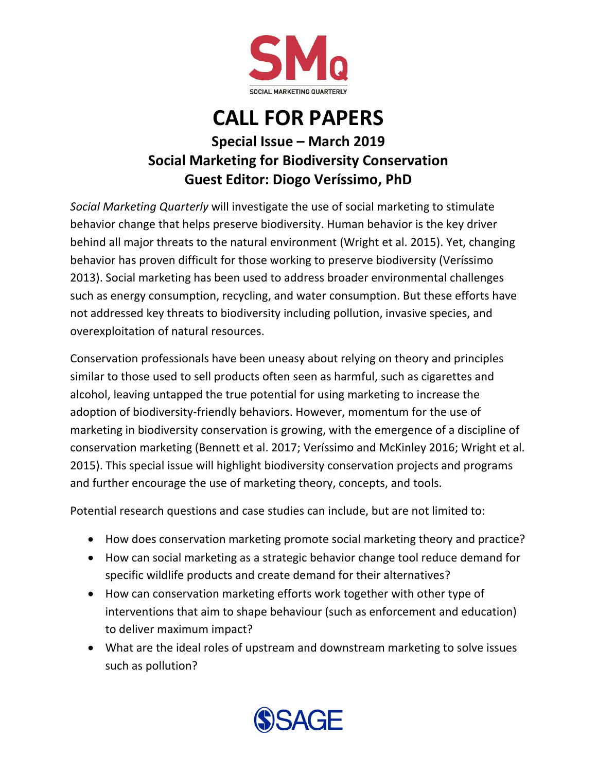

## **CALL FOR PAPERS**

## **Special Issue – March 2019 Social Marketing for Biodiversity Conservation Guest Editor: Diogo Veríssimo, PhD**

*Social Marketing Quarterly* will investigate the use of social marketing to stimulate behavior change that helps preserve biodiversity. Human behavior is the key driver behind all major threats to the natural environment [\(Wright et al. 2015\)](#page-1-0). Yet, changing behavior has proven difficult for those working to preserve biodiversity [\(Veríssimo](#page-1-1)  [2013\)](#page-1-1). Social marketing has been used to address broader environmental challenges such as energy consumption, recycling, and water consumption. But these efforts have not addressed key threats to biodiversity including pollution, invasive species, and overexploitation of natural resources.

Conservation professionals have been uneasy about relying on theory and principles similar to those used to sell products often seen as harmful, such as cigarettes and alcohol, leaving untapped the true potential for using marketing to increase the adoption of biodiversity-friendly behaviors. However, momentum for the use of marketing in biodiversity conservation is growing, with the emergence of a discipline of conservation marketing [\(Bennett et al. 2017;](#page-1-2) [Veríssimo and McKinley 2016;](#page-1-0) [Wright et al.](#page-1-3)  [2015\)](#page-1-3). This special issue will highlight biodiversity conservation projects and programs and further encourage the use of marketing theory, concepts, and tools.

Potential research questions and case studies can include, but are not limited to:

- How does conservation marketing promote social marketing theory and practice?
- How can social marketing as a strategic behavior change tool reduce demand for specific wildlife products and create demand for their alternatives?
- How can conservation marketing efforts work together with other type of interventions that aim to shape behaviour (such as enforcement and education) to deliver maximum impact?
- What are the ideal roles of upstream and downstream marketing to solve issues such as pollution?